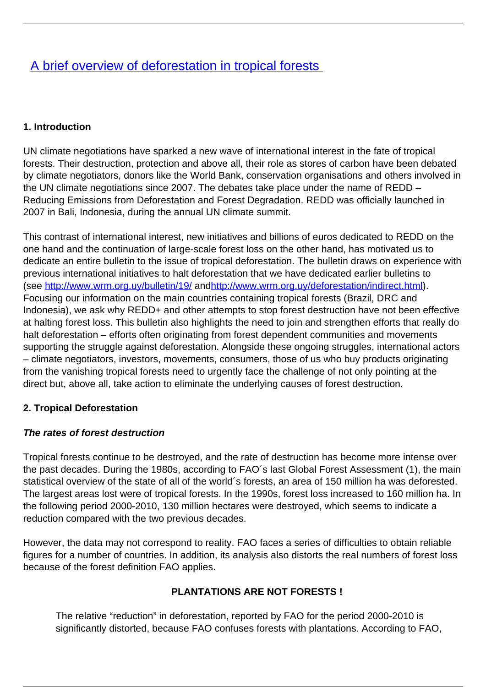# [A brief overview of deforestation in tropical forests](/bulletin-articles/a-brief-overview-of-deforestation-in-tropical-forests)

# **1. Introduction**

UN climate negotiations have sparked a new wave of international interest in the fate of tropical forests. Their destruction, protection and above all, their role as stores of carbon have been debated by climate negotiators, donors like the World Bank, conservation organisations and others involved in the UN climate negotiations since 2007. The debates take place under the name of REDD – Reducing Emissions from Deforestation and Forest Degradation. REDD was officially launched in 2007 in Bali, Indonesia, during the annual UN climate summit.

This contrast of international interest, new initiatives and billions of euros dedicated to REDD on the one hand and the continuation of large-scale forest loss on the other hand, has motivated us to dedicate an entire bulletin to the issue of tropical deforestation. The bulletin draws on experience with previous international initiatives to halt deforestation that we have dedicated earlier bulletins to (see<http://www.wrm.org.uy/bulletin/19/> an[dhttp://www.wrm.org.uy/deforestation/indirect.html\)](http://www.wrm.org.uy/deforestation/indirect.html). Focusing our information on the main countries containing tropical forests (Brazil, DRC and Indonesia), we ask why REDD+ and other attempts to stop forest destruction have not been effective at halting forest loss. This bulletin also highlights the need to join and strengthen efforts that really do halt deforestation – efforts often originating from forest dependent communities and movements supporting the struggle against deforestation. Alongside these ongoing struggles, international actors – climate negotiators, investors, movements, consumers, those of us who buy products originating from the vanishing tropical forests need to urgently face the challenge of not only pointing at the direct but, above all, take action to eliminate the underlying causes of forest destruction.

# **2. Tropical Deforestation**

# **The rates of forest destruction**

Tropical forests continue to be destroyed, and the rate of destruction has become more intense over the past decades. During the 1980s, according to FAO´s last Global Forest Assessment (1), the main statistical overview of the state of all of the world´s forests, an area of 150 million ha was deforested. The largest areas lost were of tropical forests. In the 1990s, forest loss increased to 160 million ha. In the following period 2000-2010, 130 million hectares were destroyed, which seems to indicate a reduction compared with the two previous decades.

However, the data may not correspond to reality. FAO faces a series of difficulties to obtain reliable figures for a number of countries. In addition, its analysis also distorts the real numbers of forest loss because of the forest definition FAO applies.

# **PLANTATIONS ARE NOT FORESTS !**

The relative "reduction" in deforestation, reported by FAO for the period 2000-2010 is significantly distorted, because FAO confuses forests with plantations. According to FAO,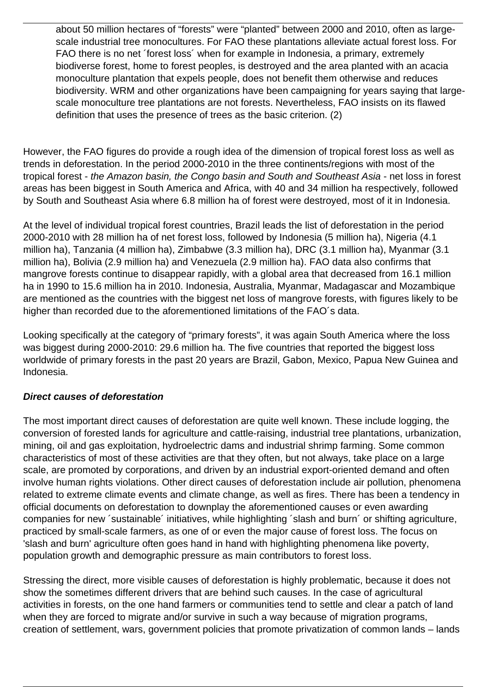about 50 million hectares of "forests" were "planted" between 2000 and 2010, often as largescale industrial tree monocultures. For FAO these plantations alleviate actual forest loss. For FAO there is no net ´forest loss´ when for example in Indonesia, a primary, extremely biodiverse forest, home to forest peoples, is destroyed and the area planted with an acacia monoculture plantation that expels people, does not benefit them otherwise and reduces biodiversity. WRM and other organizations have been campaigning for years saying that largescale monoculture tree plantations are not forests. Nevertheless, FAO insists on its flawed definition that uses the presence of trees as the basic criterion. (2)

However, the FAO figures do provide a rough idea of the dimension of tropical forest loss as well as trends in deforestation. In the period 2000-2010 in the three continents/regions with most of the tropical forest - the Amazon basin, the Congo basin and South and Southeast Asia - net loss in forest areas has been biggest in South America and Africa, with 40 and 34 million ha respectively, followed by South and Southeast Asia where 6.8 million ha of forest were destroyed, most of it in Indonesia.

At the level of individual tropical forest countries, Brazil leads the list of deforestation in the period 2000-2010 with 28 million ha of net forest loss, followed by Indonesia (5 million ha), Nigeria (4.1 million ha), Tanzania (4 million ha), Zimbabwe (3.3 million ha), DRC (3.1 million ha), Myanmar (3.1 million ha), Bolivia (2.9 million ha) and Venezuela (2.9 million ha). FAO data also confirms that mangrove forests continue to disappear rapidly, with a global area that decreased from 16.1 million ha in 1990 to 15.6 million ha in 2010. Indonesia, Australia, Myanmar, Madagascar and Mozambique are mentioned as the countries with the biggest net loss of mangrove forests, with figures likely to be higher than recorded due to the aforementioned limitations of the FAO´s data.

Looking specifically at the category of "primary forests", it was again South America where the loss was biggest during 2000-2010: 29.6 million ha. The five countries that reported the biggest loss worldwide of primary forests in the past 20 years are Brazil, Gabon, Mexico, Papua New Guinea and Indonesia.

#### **Direct causes of deforestation**

The most important direct causes of deforestation are quite well known. These include logging, the conversion of forested lands for agriculture and cattle-raising, industrial tree plantations, urbanization, mining, oil and gas exploitation, hydroelectric dams and industrial shrimp farming. Some common characteristics of most of these activities are that they often, but not always, take place on a large scale, are promoted by corporations, and driven by an industrial export-oriented demand and often involve human rights violations. Other direct causes of deforestation include air pollution, phenomena related to extreme climate events and climate change, as well as fires. There has been a tendency in official documents on deforestation to downplay the aforementioned causes or even awarding companies for new ´sustainable´ initiatives, while highlighting ´slash and burn´ or shifting agriculture, practiced by small-scale farmers, as one of or even the major cause of forest loss. The focus on 'slash and burn' agriculture often goes hand in hand with highlighting phenomena like poverty, population growth and demographic pressure as main contributors to forest loss.

Stressing the direct, more visible causes of deforestation is highly problematic, because it does not show the sometimes different drivers that are behind such causes. In the case of agricultural activities in forests, on the one hand farmers or communities tend to settle and clear a patch of land when they are forced to migrate and/or survive in such a way because of migration programs, creation of settlement, wars, government policies that promote privatization of common lands – lands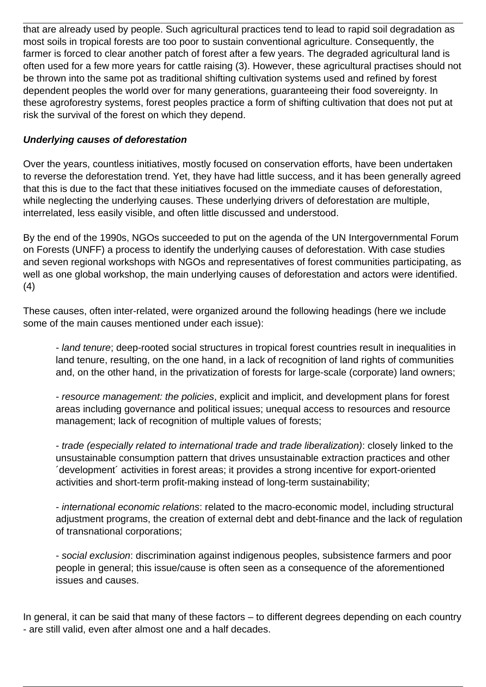that are already used by people. Such agricultural practices tend to lead to rapid soil degradation as most soils in tropical forests are too poor to sustain conventional agriculture. Consequently, the farmer is forced to clear another patch of forest after a few years. The degraded agricultural land is often used for a few more years for cattle raising (3). However, these agricultural practises should not be thrown into the same pot as traditional shifting cultivation systems used and refined by forest dependent peoples the world over for many generations, guaranteeing their food sovereignty. In these agroforestry systems, forest peoples practice a form of shifting cultivation that does not put at risk the survival of the forest on which they depend.

#### **Underlying causes of deforestation**

Over the years, countless initiatives, mostly focused on conservation efforts, have been undertaken to reverse the deforestation trend. Yet, they have had little success, and it has been generally agreed that this is due to the fact that these initiatives focused on the immediate causes of deforestation, while neglecting the underlying causes. These underlying drivers of deforestation are multiple, interrelated, less easily visible, and often little discussed and understood.

By the end of the 1990s, NGOs succeeded to put on the agenda of the UN Intergovernmental Forum on Forests (UNFF) a process to identify the underlying causes of deforestation. With case studies and seven regional workshops with NGOs and representatives of forest communities participating, as well as one global workshop, the main underlying causes of deforestation and actors were identified. (4)

These causes, often inter-related, were organized around the following headings (here we include some of the main causes mentioned under each issue):

- land tenure; deep-rooted social structures in tropical forest countries result in inequalities in land tenure, resulting, on the one hand, in a lack of recognition of land rights of communities and, on the other hand, in the privatization of forests for large-scale (corporate) land owners;

- resource management: the policies, explicit and implicit, and development plans for forest areas including governance and political issues; unequal access to resources and resource management; lack of recognition of multiple values of forests;

- trade (especially related to international trade and trade liberalization): closely linked to the unsustainable consumption pattern that drives unsustainable extraction practices and other ´development´ activities in forest areas; it provides a strong incentive for export-oriented activities and short-term profit-making instead of long-term sustainability;

- international economic relations: related to the macro-economic model, including structural adjustment programs, the creation of external debt and debt-finance and the lack of regulation of transnational corporations;

- social exclusion: discrimination against indigenous peoples, subsistence farmers and poor people in general; this issue/cause is often seen as a consequence of the aforementioned issues and causes.

In general, it can be said that many of these factors – to different degrees depending on each country - are still valid, even after almost one and a half decades.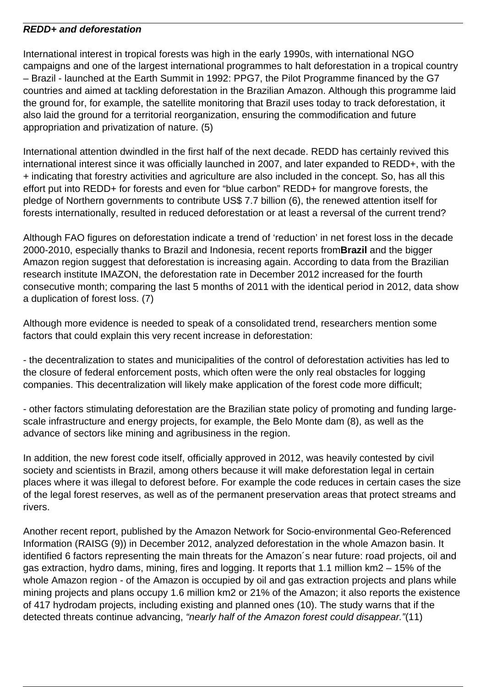#### **REDD+ and deforestation**

International interest in tropical forests was high in the early 1990s, with international NGO campaigns and one of the largest international programmes to halt deforestation in a tropical country – Brazil - launched at the Earth Summit in 1992: PPG7, the Pilot Programme financed by the G7 countries and aimed at tackling deforestation in the Brazilian Amazon. Although this programme laid the ground for, for example, the satellite monitoring that Brazil uses today to track deforestation, it also laid the ground for a territorial reorganization, ensuring the commodification and future appropriation and privatization of nature. (5)

International attention dwindled in the first half of the next decade. REDD has certainly revived this international interest since it was officially launched in 2007, and later expanded to REDD+, with the + indicating that forestry activities and agriculture are also included in the concept. So, has all this effort put into REDD+ for forests and even for "blue carbon" REDD+ for mangrove forests, the pledge of Northern governments to contribute US\$ 7.7 billion (6), the renewed attention itself for forests internationally, resulted in reduced deforestation or at least a reversal of the current trend?

Although FAO figures on deforestation indicate a trend of 'reduction' in net forest loss in the decade 2000-2010, especially thanks to Brazil and Indonesia, recent reports from**Brazil** and the bigger Amazon region suggest that deforestation is increasing again. According to data from the Brazilian research institute IMAZON, the deforestation rate in December 2012 increased for the fourth consecutive month; comparing the last 5 months of 2011 with the identical period in 2012, data show a duplication of forest loss. (7)

Although more evidence is needed to speak of a consolidated trend, researchers mention some factors that could explain this very recent increase in deforestation:

- the decentralization to states and municipalities of the control of deforestation activities has led to the closure of federal enforcement posts, which often were the only real obstacles for logging companies. This decentralization will likely make application of the forest code more difficult;

- other factors stimulating deforestation are the Brazilian state policy of promoting and funding largescale infrastructure and energy projects, for example, the Belo Monte dam (8), as well as the advance of sectors like mining and agribusiness in the region.

In addition, the new forest code itself, officially approved in 2012, was heavily contested by civil society and scientists in Brazil, among others because it will make deforestation legal in certain places where it was illegal to deforest before. For example the code reduces in certain cases the size of the legal forest reserves, as well as of the permanent preservation areas that protect streams and rivers.

Another recent report, published by the Amazon Network for Socio-environmental Geo-Referenced Information (RAISG (9)) in December 2012, analyzed deforestation in the whole Amazon basin. It identified 6 factors representing the main threats for the Amazon´s near future: road projects, oil and gas extraction, hydro dams, mining, fires and logging. It reports that 1.1 million km2 – 15% of the whole Amazon region - of the Amazon is occupied by oil and gas extraction projects and plans while mining projects and plans occupy 1.6 million km2 or 21% of the Amazon; it also reports the existence of 417 hydrodam projects, including existing and planned ones (10). The study warns that if the detected threats continue advancing, "nearly half of the Amazon forest could disappear."(11)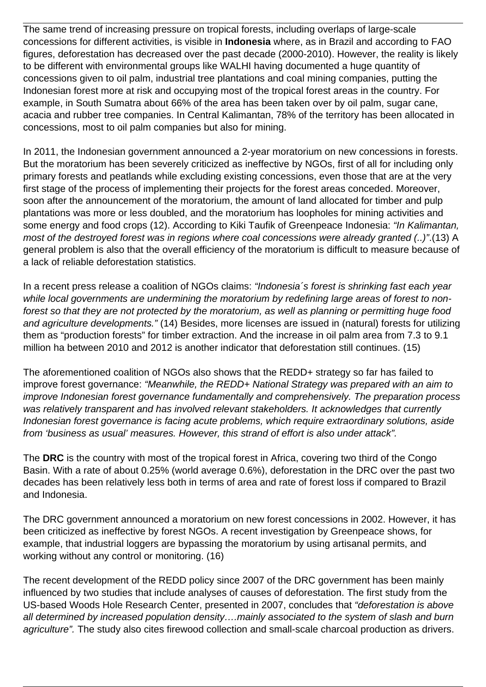The same trend of increasing pressure on tropical forests, including overlaps of large-scale concessions for different activities, is visible in **Indonesia** where, as in Brazil and according to FAO figures, deforestation has decreased over the past decade (2000-2010). However, the reality is likely to be different with environmental groups like WALHI having documented a huge quantity of concessions given to oil palm, industrial tree plantations and coal mining companies, putting the Indonesian forest more at risk and occupying most of the tropical forest areas in the country. For example, in South Sumatra about 66% of the area has been taken over by oil palm, sugar cane, acacia and rubber tree companies. In Central Kalimantan, 78% of the territory has been allocated in concessions, most to oil palm companies but also for mining.

In 2011, the Indonesian government announced a 2-year moratorium on new concessions in forests. But the moratorium has been severely criticized as ineffective by NGOs, first of all for including only primary forests and peatlands while excluding existing concessions, even those that are at the very first stage of the process of implementing their projects for the forest areas conceded. Moreover, soon after the announcement of the moratorium, the amount of land allocated for timber and pulp plantations was more or less doubled, and the moratorium has loopholes for mining activities and some energy and food crops (12). According to Kiki Taufik of Greenpeace Indonesia: "In Kalimantan, most of the destroyed forest was in regions where coal concessions were already granted (..)".(13) A general problem is also that the overall efficiency of the moratorium is difficult to measure because of a lack of reliable deforestation statistics.

In a recent press release a coalition of NGOs claims: "Indonesia's forest is shrinking fast each year while local governments are undermining the moratorium by redefining large areas of forest to nonforest so that they are not protected by the moratorium, as well as planning or permitting huge food and agriculture developments." (14) Besides, more licenses are issued in (natural) forests for utilizing them as "production forests" for timber extraction. And the increase in oil palm area from 7.3 to 9.1 million ha between 2010 and 2012 is another indicator that deforestation still continues. (15)

The aforementioned coalition of NGOs also shows that the REDD+ strategy so far has failed to improve forest governance: "Meanwhile, the REDD+ National Strategy was prepared with an aim to improve Indonesian forest governance fundamentally and comprehensively. The preparation process was relatively transparent and has involved relevant stakeholders. It acknowledges that currently Indonesian forest governance is facing acute problems, which require extraordinary solutions, aside from 'business as usual' measures. However, this strand of effort is also under attack".

The **DRC** is the country with most of the tropical forest in Africa, covering two third of the Congo Basin. With a rate of about 0.25% (world average 0.6%), deforestation in the DRC over the past two decades has been relatively less both in terms of area and rate of forest loss if compared to Brazil and Indonesia.

The DRC government announced a moratorium on new forest concessions in 2002. However, it has been criticized as ineffective by forest NGOs. A recent investigation by Greenpeace shows, for example, that industrial loggers are bypassing the moratorium by using artisanal permits, and working without any control or monitoring. (16)

The recent development of the REDD policy since 2007 of the DRC government has been mainly influenced by two studies that include analyses of causes of deforestation. The first study from the US-based Woods Hole Research Center, presented in 2007, concludes that "deforestation is above all determined by increased population density….mainly associated to the system of slash and burn agriculture". The study also cites firewood collection and small-scale charcoal production as drivers.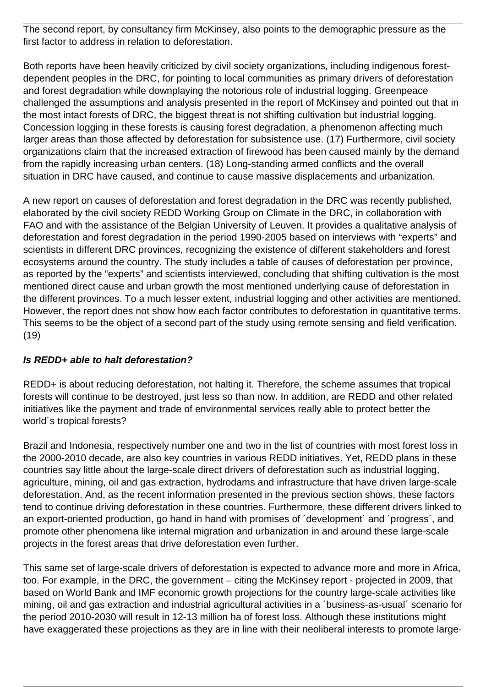The second report, by consultancy firm McKinsey, also points to the demographic pressure as the first factor to address in relation to deforestation.

Both reports have been heavily criticized by civil society organizations, including indigenous forestdependent peoples in the DRC, for pointing to local communities as primary drivers of deforestation and forest degradation while downplaying the notorious role of industrial logging. Greenpeace challenged the assumptions and analysis presented in the report of McKinsey and pointed out that in the most intact forests of DRC, the biggest threat is not shifting cultivation but industrial logging. Concession logging in these forests is causing forest degradation, a phenomenon affecting much larger areas than those affected by deforestation for subsistence use. (17) Furthermore, civil society organizations claim that the increased extraction of firewood has been caused mainly by the demand from the rapidly increasing urban centers. (18) Long-standing armed conflicts and the overall situation in DRC have caused, and continue to cause massive displacements and urbanization.

A new report on causes of deforestation and forest degradation in the DRC was recently published, elaborated by the civil society REDD Working Group on Climate in the DRC, in collaboration with FAO and with the assistance of the Belgian University of Leuven. It provides a qualitative analysis of deforestation and forest degradation in the period 1990-2005 based on interviews with "experts" and scientists in different DRC provinces, recognizing the existence of different stakeholders and forest ecosystems around the country. The study includes a table of causes of deforestation per province, as reported by the "experts" and scientists interviewed, concluding that shifting cultivation is the most mentioned direct cause and urban growth the most mentioned underlying cause of deforestation in the different provinces. To a much lesser extent, industrial logging and other activities are mentioned. However, the report does not show how each factor contributes to deforestation in quantitative terms. This seems to be the object of a second part of the study using remote sensing and field verification. (19)

# **Is REDD+ able to halt deforestation?**

REDD+ is about reducing deforestation, not halting it. Therefore, the scheme assumes that tropical forests will continue to be destroyed, just less so than now. In addition, are REDD and other related initiatives like the payment and trade of environmental services really able to protect better the world´s tropical forests?

Brazil and Indonesia, respectively number one and two in the list of countries with most forest loss in the 2000-2010 decade, are also key countries in various REDD initiatives. Yet, REDD plans in these countries say little about the large-scale direct drivers of deforestation such as industrial logging, agriculture, mining, oil and gas extraction, hydrodams and infrastructure that have driven large-scale deforestation. And, as the recent information presented in the previous section shows, these factors tend to continue driving deforestation in these countries. Furthermore, these different drivers linked to an export-oriented production, go hand in hand with promises of ´development´ and ´progress´, and promote other phenomena like internal migration and urbanization in and around these large-scale projects in the forest areas that drive deforestation even further.

This same set of large-scale drivers of deforestation is expected to advance more and more in Africa, too. For example, in the DRC, the government – citing the McKinsey report - projected in 2009, that based on World Bank and IMF economic growth projections for the country large-scale activities like mining, oil and gas extraction and industrial agricultural activities in a ´business-as-usual´ scenario for the period 2010-2030 will result in 12-13 million ha of forest loss. Although these institutions might have exaggerated these projections as they are in line with their neoliberal interests to promote large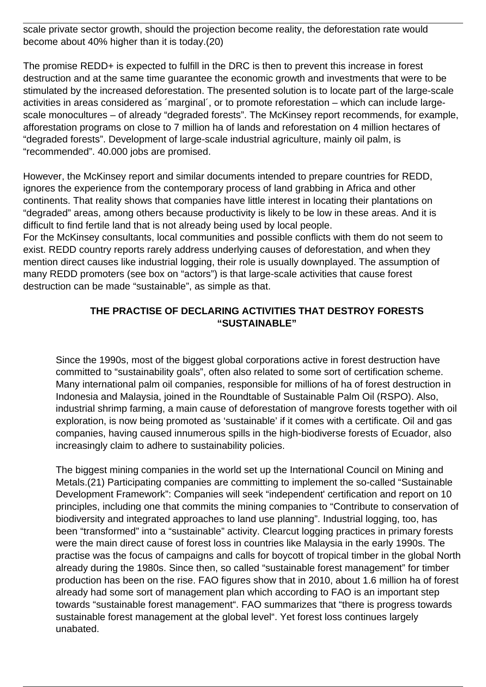scale private sector growth, should the projection become reality, the deforestation rate would become about 40% higher than it is today.(20)

The promise REDD+ is expected to fulfill in the DRC is then to prevent this increase in forest destruction and at the same time guarantee the economic growth and investments that were to be stimulated by the increased deforestation. The presented solution is to locate part of the large-scale activities in areas considered as ´marginal´, or to promote reforestation – which can include largescale monocultures – of already "degraded forests". The McKinsey report recommends, for example, afforestation programs on close to 7 million ha of lands and reforestation on 4 million hectares of "degraded forests". Development of large-scale industrial agriculture, mainly oil palm, is "recommended". 40.000 jobs are promised.

However, the McKinsey report and similar documents intended to prepare countries for REDD, ignores the experience from the contemporary process of land grabbing in Africa and other continents. That reality shows that companies have little interest in locating their plantations on "degraded" areas, among others because productivity is likely to be low in these areas. And it is difficult to find fertile land that is not already being used by local people.

For the McKinsey consultants, local communities and possible conflicts with them do not seem to exist. REDD country reports rarely address underlying causes of deforestation, and when they mention direct causes like industrial logging, their role is usually downplayed. The assumption of many REDD promoters (see box on "actors") is that large-scale activities that cause forest destruction can be made "sustainable", as simple as that.

#### **THE PRACTISE OF DECLARING ACTIVITIES THAT DESTROY FORESTS "SUSTAINABLE"**

Since the 1990s, most of the biggest global corporations active in forest destruction have committed to "sustainability goals", often also related to some sort of certification scheme. Many international palm oil companies, responsible for millions of ha of forest destruction in Indonesia and Malaysia, joined in the Roundtable of Sustainable Palm Oil (RSPO). Also, industrial shrimp farming, a main cause of deforestation of mangrove forests together with oil exploration, is now being promoted as 'sustainable' if it comes with a certificate. Oil and gas companies, having caused innumerous spills in the high-biodiverse forests of Ecuador, also increasingly claim to adhere to sustainability policies.

The biggest mining companies in the world set up the International Council on Mining and Metals.(21) Participating companies are committing to implement the so-called "Sustainable Development Framework": Companies will seek "independent' certification and report on 10 principles, including one that commits the mining companies to "Contribute to conservation of biodiversity and integrated approaches to land use planning". Industrial logging, too, has been "transformed" into a "sustainable" activity. Clearcut logging practices in primary forests were the main direct cause of forest loss in countries like Malaysia in the early 1990s. The practise was the focus of campaigns and calls for boycott of tropical timber in the global North already during the 1980s. Since then, so called "sustainable forest management" for timber production has been on the rise. FAO figures show that in 2010, about 1.6 million ha of forest already had some sort of management plan which according to FAO is an important step towards "sustainable forest management". FAO summarizes that "there is progress towards sustainable forest management at the global level". Yet forest loss continues largely unabated.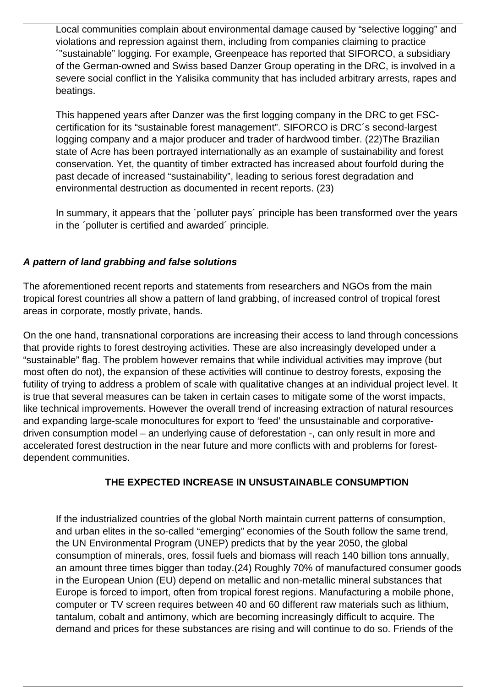Local communities complain about environmental damage caused by "selective logging" and violations and repression against them, including from companies claiming to practice ´"sustainable" logging. For example, Greenpeace has reported that SIFORCO, a subsidiary of the German-owned and Swiss based Danzer Group operating in the DRC, is involved in a severe social conflict in the Yalisika community that has included arbitrary arrests, rapes and beatings.

This happened years after Danzer was the first logging company in the DRC to get FSCcertification for its "sustainable forest management". SIFORCO is DRC´s second-largest logging company and a major producer and trader of hardwood timber. (22)The Brazilian state of Acre has been portrayed internationally as an example of sustainability and forest conservation. Yet, the quantity of timber extracted has increased about fourfold during the past decade of increased "sustainability", leading to serious forest degradation and environmental destruction as documented in recent reports. (23)

In summary, it appears that the 'polluter pays' principle has been transformed over the years in the ´polluter is certified and awarded´ principle.

# **A pattern of land grabbing and false solutions**

The aforementioned recent reports and statements from researchers and NGOs from the main tropical forest countries all show a pattern of land grabbing, of increased control of tropical forest areas in corporate, mostly private, hands.

On the one hand, transnational corporations are increasing their access to land through concessions that provide rights to forest destroying activities. These are also increasingly developed under a "sustainable" flag. The problem however remains that while individual activities may improve (but most often do not), the expansion of these activities will continue to destroy forests, exposing the futility of trying to address a problem of scale with qualitative changes at an individual project level. It is true that several measures can be taken in certain cases to mitigate some of the worst impacts, like technical improvements. However the overall trend of increasing extraction of natural resources and expanding large-scale monocultures for export to 'feed' the unsustainable and corporativedriven consumption model – an underlying cause of deforestation -, can only result in more and accelerated forest destruction in the near future and more conflicts with and problems for forestdependent communities.

# **THE EXPECTED INCREASE IN UNSUSTAINABLE CONSUMPTION**

If the industrialized countries of the global North maintain current patterns of consumption, and urban elites in the so-called "emerging" economies of the South follow the same trend, the UN Environmental Program (UNEP) predicts that by the year 2050, the global consumption of minerals, ores, fossil fuels and biomass will reach 140 billion tons annually, an amount three times bigger than today.(24) Roughly 70% of manufactured consumer goods in the European Union (EU) depend on metallic and non-metallic mineral substances that Europe is forced to import, often from tropical forest regions. Manufacturing a mobile phone, computer or TV screen requires between 40 and 60 different raw materials such as lithium, tantalum, cobalt and antimony, which are becoming increasingly difficult to acquire. The demand and prices for these substances are rising and will continue to do so. Friends of the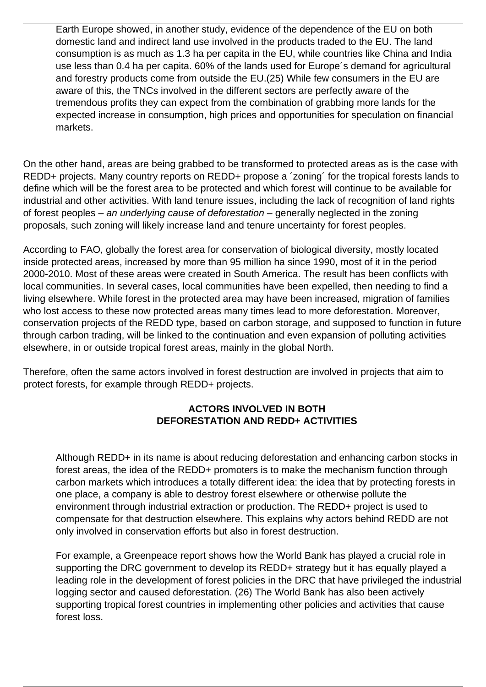Earth Europe showed, in another study, evidence of the dependence of the EU on both domestic land and indirect land use involved in the products traded to the EU. The land consumption is as much as 1.3 ha per capita in the EU, while countries like China and India use less than 0.4 ha per capita. 60% of the lands used for Europe´s demand for agricultural and forestry products come from outside the EU.(25) While few consumers in the EU are aware of this, the TNCs involved in the different sectors are perfectly aware of the tremendous profits they can expect from the combination of grabbing more lands for the expected increase in consumption, high prices and opportunities for speculation on financial markets.

On the other hand, areas are being grabbed to be transformed to protected areas as is the case with REDD+ projects. Many country reports on REDD+ propose a ´zoning´ for the tropical forests lands to define which will be the forest area to be protected and which forest will continue to be available for industrial and other activities. With land tenure issues, including the lack of recognition of land rights of forest peoples – an underlying cause of deforestation – generally neglected in the zoning proposals, such zoning will likely increase land and tenure uncertainty for forest peoples.

According to FAO, globally the forest area for conservation of biological diversity, mostly located inside protected areas, increased by more than 95 million ha since 1990, most of it in the period 2000-2010. Most of these areas were created in South America. The result has been conflicts with local communities. In several cases, local communities have been expelled, then needing to find a living elsewhere. While forest in the protected area may have been increased, migration of families who lost access to these now protected areas many times lead to more deforestation. Moreover, conservation projects of the REDD type, based on carbon storage, and supposed to function in future through carbon trading, will be linked to the continuation and even expansion of polluting activities elsewhere, in or outside tropical forest areas, mainly in the global North.

Therefore, often the same actors involved in forest destruction are involved in projects that aim to protect forests, for example through REDD+ projects.

# **ACTORS INVOLVED IN BOTH DEFORESTATION AND REDD+ ACTIVITIES**

Although REDD+ in its name is about reducing deforestation and enhancing carbon stocks in forest areas, the idea of the REDD+ promoters is to make the mechanism function through carbon markets which introduces a totally different idea: the idea that by protecting forests in one place, a company is able to destroy forest elsewhere or otherwise pollute the environment through industrial extraction or production. The REDD+ project is used to compensate for that destruction elsewhere. This explains why actors behind REDD are not only involved in conservation efforts but also in forest destruction.

For example, a Greenpeace report shows how the World Bank has played a crucial role in supporting the DRC government to develop its REDD+ strategy but it has equally played a leading role in the development of forest policies in the DRC that have privileged the industrial logging sector and caused deforestation. (26) The World Bank has also been actively supporting tropical forest countries in implementing other policies and activities that cause forest loss.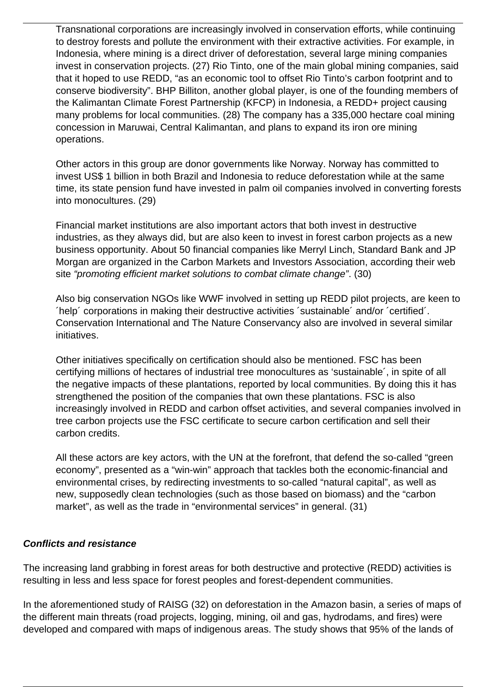Transnational corporations are increasingly involved in conservation efforts, while continuing to destroy forests and pollute the environment with their extractive activities. For example, in Indonesia, where mining is a direct driver of deforestation, several large mining companies invest in conservation projects. (27) Rio Tinto, one of the main global mining companies, said that it hoped to use REDD, "as an economic tool to offset Rio Tinto's carbon footprint and to conserve biodiversity". BHP Billiton, another global player, is one of the founding members of the Kalimantan Climate Forest Partnership (KFCP) in Indonesia, a REDD+ project causing many problems for local communities. (28) The company has a 335,000 hectare coal mining concession in Maruwai, Central Kalimantan, and plans to expand its iron ore mining operations.

Other actors in this group are donor governments like Norway. Norway has committed to invest US\$ 1 billion in both Brazil and Indonesia to reduce deforestation while at the same time, its state pension fund have invested in palm oil companies involved in converting forests into monocultures. (29)

Financial market institutions are also important actors that both invest in destructive industries, as they always did, but are also keen to invest in forest carbon projects as a new business opportunity. About 50 financial companies like Merryl Linch, Standard Bank and JP Morgan are organized in the Carbon Markets and Investors Association, according their web site "promoting efficient market solutions to combat climate change". (30)

Also big conservation NGOs like WWF involved in setting up REDD pilot projects, are keen to ´help´ corporations in making their destructive activities ´sustainable´ and/or ´certified´. Conservation International and The Nature Conservancy also are involved in several similar initiatives.

Other initiatives specifically on certification should also be mentioned. FSC has been certifying millions of hectares of industrial tree monocultures as 'sustainable´, in spite of all the negative impacts of these plantations, reported by local communities. By doing this it has strengthened the position of the companies that own these plantations. FSC is also increasingly involved in REDD and carbon offset activities, and several companies involved in tree carbon projects use the FSC certificate to secure carbon certification and sell their carbon credits.

All these actors are key actors, with the UN at the forefront, that defend the so-called "green economy", presented as a "win-win" approach that tackles both the economic-financial and environmental crises, by redirecting investments to so-called "natural capital", as well as new, supposedly clean technologies (such as those based on biomass) and the "carbon market", as well as the trade in "environmental services" in general. (31)

#### **Conflicts and resistance**

The increasing land grabbing in forest areas for both destructive and protective (REDD) activities is resulting in less and less space for forest peoples and forest-dependent communities.

In the aforementioned study of RAISG (32) on deforestation in the Amazon basin, a series of maps of the different main threats (road projects, logging, mining, oil and gas, hydrodams, and fires) were developed and compared with maps of indigenous areas. The study shows that 95% of the lands of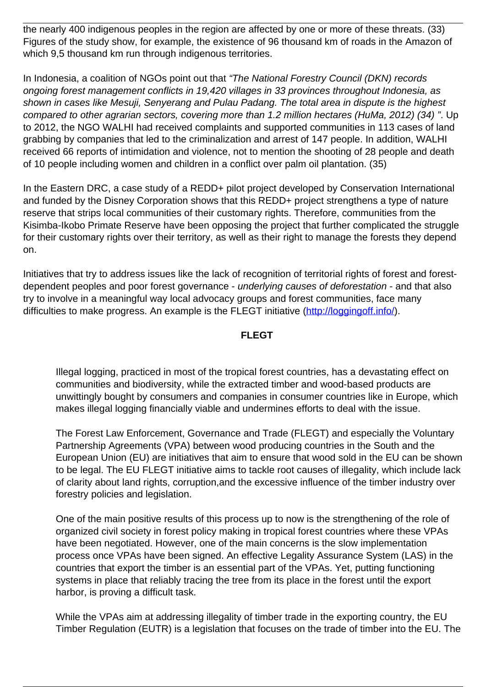the nearly 400 indigenous peoples in the region are affected by one or more of these threats. (33) Figures of the study show, for example, the existence of 96 thousand km of roads in the Amazon of which 9,5 thousand km run through indigenous territories.

In Indonesia, a coalition of NGOs point out that "The National Forestry Council (DKN) records ongoing forest management conflicts in 19,420 villages in 33 provinces throughout Indonesia, as shown in cases like Mesuji, Senyerang and Pulau Padang. The total area in dispute is the highest compared to other agrarian sectors, covering more than 1.2 million hectares (HuMa, 2012) (34) ". Up to 2012, the NGO WALHI had received complaints and supported communities in 113 cases of land grabbing by companies that led to the criminalization and arrest of 147 people. In addition, WALHI received 66 reports of intimidation and violence, not to mention the shooting of 28 people and death of 10 people including women and children in a conflict over palm oil plantation. (35)

In the Eastern DRC, a case study of a REDD+ pilot project developed by Conservation International and funded by the Disney Corporation shows that this REDD+ project strengthens a type of nature reserve that strips local communities of their customary rights. Therefore, communities from the Kisimba-Ikobo Primate Reserve have been opposing the project that further complicated the struggle for their customary rights over their territory, as well as their right to manage the forests they depend on.

Initiatives that try to address issues like the lack of recognition of territorial rights of forest and forestdependent peoples and poor forest governance - underlying causes of deforestation - and that also try to involve in a meaningful way local advocacy groups and forest communities, face many difficulties to make progress. An example is the FLEGT initiative [\(http://loggingoff.info/](http://loggingoff.info/)).

#### **FLEGT**

Illegal logging, practiced in most of the tropical forest countries, has a devastating effect on communities and biodiversity, while the extracted timber and wood-based products are unwittingly bought by consumers and companies in consumer countries like in Europe, which makes illegal logging financially viable and undermines efforts to deal with the issue.

The Forest Law Enforcement, Governance and Trade (FLEGT) and especially the Voluntary Partnership Agreements (VPA) between wood producing countries in the South and the European Union (EU) are initiatives that aim to ensure that wood sold in the EU can be shown to be legal. The EU FLEGT initiative aims to tackle root causes of illegality, which include lack of clarity about land rights, corruption,and the excessive influence of the timber industry over forestry policies and legislation.

One of the main positive results of this process up to now is the strengthening of the role of organized civil society in forest policy making in tropical forest countries where these VPAs have been negotiated. However, one of the main concerns is the slow implementation process once VPAs have been signed. An effective Legality Assurance System (LAS) in the countries that export the timber is an essential part of the VPAs. Yet, putting functioning systems in place that reliably tracing the tree from its place in the forest until the export harbor, is proving a difficult task.

While the VPAs aim at addressing illegality of timber trade in the exporting country, the EU Timber Regulation (EUTR) is a legislation that focuses on the trade of timber into the EU. The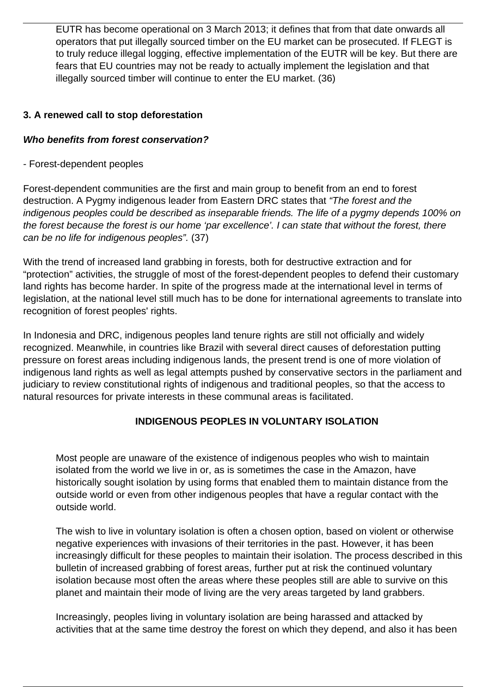EUTR has become operational on 3 March 2013; it defines that from that date onwards all operators that put illegally sourced timber on the EU market can be prosecuted. If FLEGT is to truly reduce illegal logging, effective implementation of the EUTR will be key. But there are fears that EU countries may not be ready to actually implement the legislation and that illegally sourced timber will continue to enter the EU market. (36)

## **3. A renewed call to stop deforestation**

#### **Who benefits from forest conservation?**

#### - Forest-dependent peoples

Forest-dependent communities are the first and main group to benefit from an end to forest destruction. A Pygmy indigenous leader from Eastern DRC states that "The forest and the indigenous peoples could be described as inseparable friends. The life of a pygmy depends 100% on the forest because the forest is our home 'par excellence'. I can state that without the forest, there can be no life for indigenous peoples". (37)

With the trend of increased land grabbing in forests, both for destructive extraction and for "protection" activities, the struggle of most of the forest-dependent peoples to defend their customary land rights has become harder. In spite of the progress made at the international level in terms of legislation, at the national level still much has to be done for international agreements to translate into recognition of forest peoples' rights.

In Indonesia and DRC, indigenous peoples land tenure rights are still not officially and widely recognized. Meanwhile, in countries like Brazil with several direct causes of deforestation putting pressure on forest areas including indigenous lands, the present trend is one of more violation of indigenous land rights as well as legal attempts pushed by conservative sectors in the parliament and judiciary to review constitutional rights of indigenous and traditional peoples, so that the access to natural resources for private interests in these communal areas is facilitated.

# **INDIGENOUS PEOPLES IN VOLUNTARY ISOLATION**

Most people are unaware of the existence of indigenous peoples who wish to maintain isolated from the world we live in or, as is sometimes the case in the Amazon, have historically sought isolation by using forms that enabled them to maintain distance from the outside world or even from other indigenous peoples that have a regular contact with the outside world.

The wish to live in voluntary isolation is often a chosen option, based on violent or otherwise negative experiences with invasions of their territories in the past. However, it has been increasingly difficult for these peoples to maintain their isolation. The process described in this bulletin of increased grabbing of forest areas, further put at risk the continued voluntary isolation because most often the areas where these peoples still are able to survive on this planet and maintain their mode of living are the very areas targeted by land grabbers.

Increasingly, peoples living in voluntary isolation are being harassed and attacked by activities that at the same time destroy the forest on which they depend, and also it has been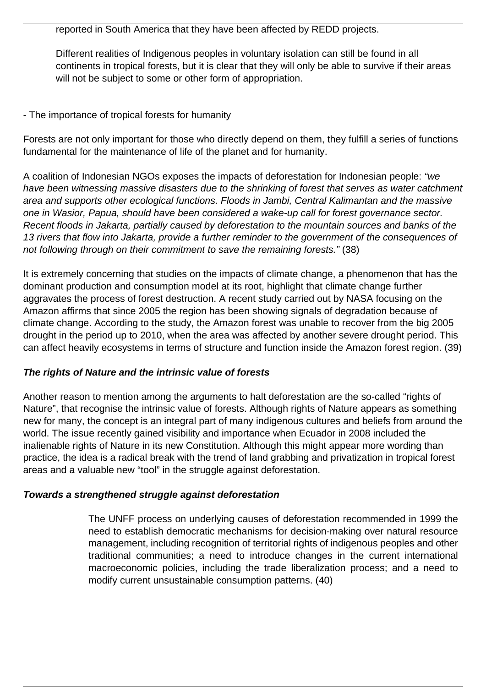reported in South America that they have been affected by REDD projects.

Different realities of Indigenous peoples in voluntary isolation can still be found in all continents in tropical forests, but it is clear that they will only be able to survive if their areas will not be subject to some or other form of appropriation.

## - The importance of tropical forests for humanity

Forests are not only important for those who directly depend on them, they fulfill a series of functions fundamental for the maintenance of life of the planet and for humanity.

A coalition of Indonesian NGOs exposes the impacts of deforestation for Indonesian people: "we have been witnessing massive disasters due to the shrinking of forest that serves as water catchment area and supports other ecological functions. Floods in Jambi, Central Kalimantan and the massive one in Wasior, Papua, should have been considered a wake-up call for forest governance sector. Recent floods in Jakarta, partially caused by deforestation to the mountain sources and banks of the 13 rivers that flow into Jakarta, provide a further reminder to the government of the consequences of not following through on their commitment to save the remaining forests." (38)

It is extremely concerning that studies on the impacts of climate change, a phenomenon that has the dominant production and consumption model at its root, highlight that climate change further aggravates the process of forest destruction. A recent study carried out by NASA focusing on the Amazon affirms that since 2005 the region has been showing signals of degradation because of climate change. According to the study, the Amazon forest was unable to recover from the big 2005 drought in the period up to 2010, when the area was affected by another severe drought period. This can affect heavily ecosystems in terms of structure and function inside the Amazon forest region. (39)

#### **The rights of Nature and the intrinsic value of forests**

Another reason to mention among the arguments to halt deforestation are the so-called "rights of Nature", that recognise the intrinsic value of forests. Although rights of Nature appears as something new for many, the concept is an integral part of many indigenous cultures and beliefs from around the world. The issue recently gained visibility and importance when Ecuador in 2008 included the inalienable rights of Nature in its new Constitution. Although this might appear more wording than practice, the idea is a radical break with the trend of land grabbing and privatization in tropical forest areas and a valuable new "tool" in the struggle against deforestation.

#### **Towards a strengthened struggle against deforestation**

The UNFF process on underlying causes of deforestation recommended in 1999 the need to establish democratic mechanisms for decision-making over natural resource management, including recognition of territorial rights of indigenous peoples and other traditional communities; a need to introduce changes in the current international macroeconomic policies, including the trade liberalization process; and a need to modify current unsustainable consumption patterns. (40)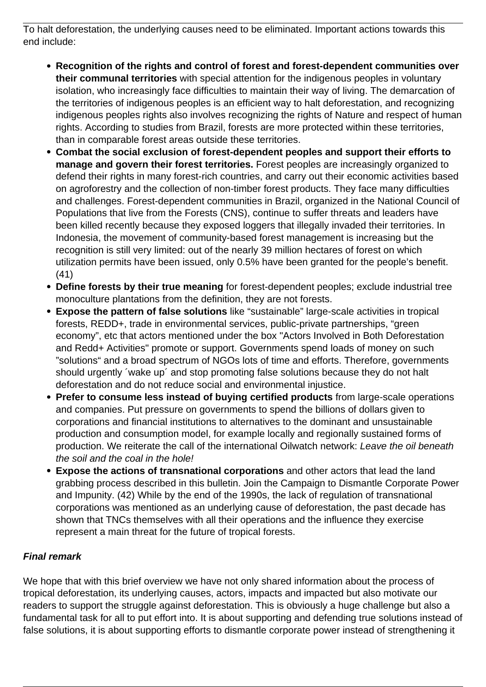To halt deforestation, the underlying causes need to be eliminated. Important actions towards this end include:

- **Recognition of the rights and control of forest and forest-dependent communities over their communal territories** with special attention for the indigenous peoples in voluntary isolation, who increasingly face difficulties to maintain their way of living. The demarcation of the territories of indigenous peoples is an efficient way to halt deforestation, and recognizing indigenous peoples rights also involves recognizing the rights of Nature and respect of human rights. According to studies from Brazil, forests are more protected within these territories, than in comparable forest areas outside these territories.
- **Combat the social exclusion of forest-dependent peoples and support their efforts to manage and govern their forest territories.** Forest peoples are increasingly organized to defend their rights in many forest-rich countries, and carry out their economic activities based on agroforestry and the collection of non-timber forest products. They face many difficulties and challenges. Forest-dependent communities in Brazil, organized in the National Council of Populations that live from the Forests (CNS), continue to suffer threats and leaders have been killed recently because they exposed loggers that illegally invaded their territories. In Indonesia, the movement of community-based forest management is increasing but the recognition is still very limited: out of the nearly 39 million hectares of forest on which utilization permits have been issued, only 0.5% have been granted for the people's benefit. (41)
- **Define forests by their true meaning** for forest-dependent peoples; exclude industrial tree monoculture plantations from the definition, they are not forests.
- **Expose the pattern of false solutions** like "sustainable" large-scale activities in tropical forests, REDD+, trade in environmental services, public-private partnerships, "green economy", etc that actors mentioned under the box "Actors Involved in Both Deforestation and Redd+ Activities" promote or support. Governments spend loads of money on such "solutions" and a broad spectrum of NGOs lots of time and efforts. Therefore, governments should urgently ´wake up´ and stop promoting false solutions because they do not halt deforestation and do not reduce social and environmental injustice.
- **Prefer to consume less instead of buying certified products** from large-scale operations and companies. Put pressure on governments to spend the billions of dollars given to corporations and financial institutions to alternatives to the dominant and unsustainable production and consumption model, for example locally and regionally sustained forms of production. We reiterate the call of the international Oilwatch network: Leave the oil beneath the soil and the coal in the hole!
- **Expose the actions of transnational corporations** and other actors that lead the land grabbing process described in this bulletin. Join the Campaign to Dismantle Corporate Power and Impunity. (42) While by the end of the 1990s, the lack of regulation of transnational corporations was mentioned as an underlying cause of deforestation, the past decade has shown that TNCs themselves with all their operations and the influence they exercise represent a main threat for the future of tropical forests.

# **Final remark**

We hope that with this brief overview we have not only shared information about the process of tropical deforestation, its underlying causes, actors, impacts and impacted but also motivate our readers to support the struggle against deforestation. This is obviously a huge challenge but also a fundamental task for all to put effort into. It is about supporting and defending true solutions instead of false solutions, it is about supporting efforts to dismantle corporate power instead of strengthening it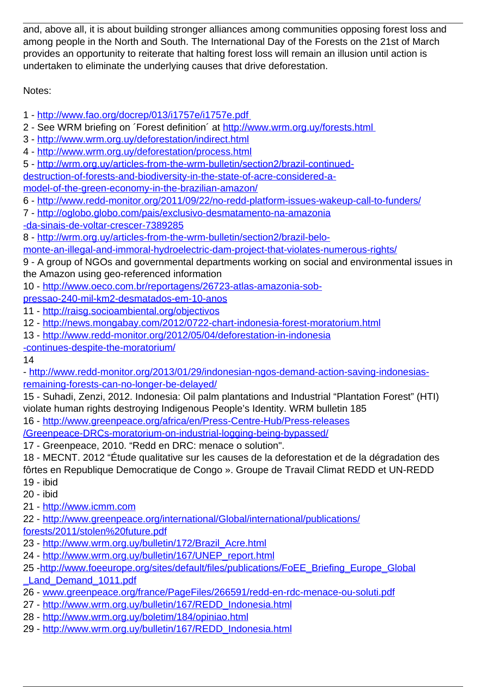and, above all, it is about building stronger alliances among communities opposing forest loss and among people in the North and South. The International Day of the Forests on the 21st of March provides an opportunity to reiterate that halting forest loss will remain an illusion until action is undertaken to eliminate the underlying causes that drive deforestation.

Notes:

- 1 <http://www.fao.org/docrep/013/i1757e/i1757e.pdf>
- 2 See WRM briefing on 'Forest definition' at http://www.wrm.org.uy/forests.html
- 3 <http://www.wrm.org.uy/deforestation/indirect.html>
- 4 <http://www.wrm.org.uy/deforestation/process.html>
- 5 [http://wrm.org.uy/articles-from-the-wrm-bulletin/section2/brazil-continued-](http://wrm.org.uy/articles-from-the-wrm-bulletin/section2/brazil-continued-destruction-of-forests-and-biodiversity-in-the-state-of-acre-considered-a-model-of-the-green-economy-in-the-brazilian-amazon/)
- [destruction-of-forests-and-biodiversity-in-the-state-of-acre-considered-a-](http://wrm.org.uy/articles-from-the-wrm-bulletin/section2/brazil-continued-destruction-of-forests-and-biodiversity-in-the-state-of-acre-considered-a-model-of-the-green-economy-in-the-brazilian-amazon/)
- [model-of-the-green-economy-in-the-brazilian-amazon/](http://wrm.org.uy/articles-from-the-wrm-bulletin/section2/brazil-continued-destruction-of-forests-and-biodiversity-in-the-state-of-acre-considered-a-model-of-the-green-economy-in-the-brazilian-amazon/)
- 6 <http://www.redd-monitor.org/2011/09/22/no-redd-platform-issues-wakeup-call-to-funders/>
- 7 [http://oglobo.globo.com/pais/exclusivo-desmatamento-na-amazonia](http://oglobo.globo.com/pais/exclusivo-desmatamento-na-amazonia-da-sinais-de-voltar-crescer-7389285)
- [-da-sinais-de-voltar-crescer-7389285](http://oglobo.globo.com/pais/exclusivo-desmatamento-na-amazonia-da-sinais-de-voltar-crescer-7389285)
- 8 [http://wrm.org.uy/articles-from-the-wrm-bulletin/section2/brazil-belo-](http://wrm.org.uy/articles-from-the-wrm-bulletin/section2/brazil-belo-monte-an-illegal-and-immoral-hydroelectric-dam-project-that-violates-numerous-rights/)
- [monte-an-illegal-and-immoral-hydroelectric-dam-project-that-violates-numerous-rights/](http://wrm.org.uy/articles-from-the-wrm-bulletin/section2/brazil-belo-monte-an-illegal-and-immoral-hydroelectric-dam-project-that-violates-numerous-rights/)
- 9 A group of NGOs and governmental departments working on social and environmental issues in the Amazon using geo-referenced information
- 10 - [http://www.oeco.com.br/reportagens/26723-atlas-amazonia-sob-](http://www.oeco.com.br/reportagens/26723-atlas-amazonia-sob-pressao-240-mil-km2-desmatados-em-10-anos)
- [pressao-240-mil-km2-desmatados-em-10-anos](http://www.oeco.com.br/reportagens/26723-atlas-amazonia-sob-pressao-240-mil-km2-desmatados-em-10-anos)
- 11 -<http://raisg.socioambiental.org/objectivos>
- 12 -<http://news.mongabay.com/2012/0722-chart-indonesia-forest-moratorium.html>
- 13 - [http://www.redd-monitor.org/2012/05/04/deforestation-in-indonesia](http://www.redd-monitor.org/2012/05/04/deforestation-in-indonesia-continues-despite-the-moratorium/)
- [-continues-despite-the-moratorium/](http://www.redd-monitor.org/2012/05/04/deforestation-in-indonesia-continues-despite-the-moratorium/)

14

- [http://www.redd-monitor.org/2013/01/29/indonesian-ngos-demand-action-saving-indonesias](http://www.redd-monitor.org/2013/01/29/indonesian-ngos-demand-action-saving-indonesias-remaining-forests-can-no-longer-be-delayed/)[remaining-forests-can-no-longer-be-delayed/](http://www.redd-monitor.org/2013/01/29/indonesian-ngos-demand-action-saving-indonesias-remaining-forests-can-no-longer-be-delayed/)
- 15 Suhadi, Zenzi, 2012. Indonesia: Oil palm plantations and Industrial "Plantation Forest" (HTI) violate human rights destroying Indigenous People's Identity. WRM bulletin 185
- 16 - [http://www.greenpeace.org/africa/en/Press-Centre-Hub/Press-releases](http://www.greenpeace.org/africa/en/Press-Centre-Hub/Press-releases/Greenpeace-DRCs-moratorium-on-industrial-logging-being-bypassed/)
- [/Greenpeace-DRCs-moratorium-on-industrial-logging-being-bypassed/](http://www.greenpeace.org/africa/en/Press-Centre-Hub/Press-releases/Greenpeace-DRCs-moratorium-on-industrial-logging-being-bypassed/)
- 17 Greenpeace, 2010. "Redd en DRC: menace o solution".
- 18 MECNT. 2012 "Étude qualitative sur les causes de la deforestation et de la dégradation des fôrtes en Republique Democratique de Congo ». Groupe de Travail Climat REDD et UN-REDD 19 - ibid
- 20 ibid
- 21 - [http://www.icmm.com](http://www.icmm.com/)
- 22 - [http://www.greenpeace.org/international/Global/international/publications/](http://www.greenpeace.org/international/Global/international/publications/%20forests/2011/stolen%20future.pdf)
- [forests/2011/stolen%20future.pdf](http://www.greenpeace.org/international/Global/international/publications/%20forests/2011/stolen%20future.pdf)
- 23 - [http://www.wrm.org.uy/bulletin/172/Brazil\\_Acre.html](http://www.wrm.org.uy/bulletin/172/Brazil_Acre.html)
- 24 - [http://www.wrm.org.uy/bulletin/167/UNEP\\_report.html](http://www.wrm.org.uy/bulletin/167/UNEP_report.html)
- 25 [-http://www.foeeurope.org/sites/default/files/publications/FoEE\\_Briefing\\_Europe\\_Global](http://www.foeeurope.org/sites/default/files/publications/FoEE_Briefing_Europe_Global%20_Land_Demand_1011.pdf) Land Demand 1011.pdf
- 26 - [www.greenpeace.org/france/PageFiles/266591/redd-en-rdc-menace-ou-soluti.pdf](http://www.greenpeace.org/france/PageFiles/266591/redd-en-rdc-menace-ou-soluti.pdf)
- 27 - [http://www.wrm.org.uy/bulletin/167/REDD\\_Indonesia.html](http://www.wrm.org.uy/bulletin/167/REDD_Indonesia.html)
- 28 -<http://www.wrm.org.uy/boletim/184/opiniao.html>
- 29 - [http://www.wrm.org.uy/bulletin/167/REDD\\_Indonesia.html](http://www.wrm.org.uy/bulletin/167/REDD_Indonesia.html)